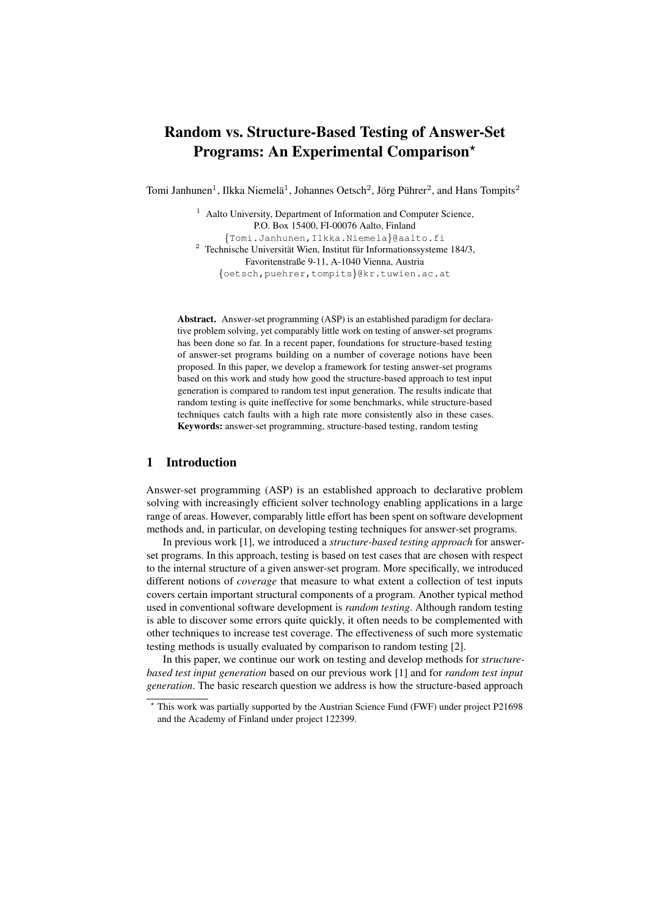# Random vs. Structure-Based Testing of Answer-Set Programs: An Experimental Comparison?

Tomi Janhunen<sup>1</sup>, Ilkka Niemelä<sup>1</sup>, Johannes Oetsch<sup>2</sup>, Jörg Pührer<sup>2</sup>, and Hans Tompits<sup>2</sup>

 $1$  Aalto University, Department of Information and Computer Science, P.O. Box 15400, FI-00076 Aalto, Finland {Tomi.Janhunen,Ilkka.Niemela}@aalto.fi  $2$  Technische Universität Wien, Institut für Informationssysteme 184/3, Favoritenstraße 9-11, A-1040 Vienna, Austria {oetsch,puehrer,tompits}@kr.tuwien.ac.at

Abstract. Answer-set programming (ASP) is an established paradigm for declarative problem solving, yet comparably little work on testing of answer-set programs has been done so far. In a recent paper, foundations for structure-based testing of answer-set programs building on a number of coverage notions have been proposed. In this paper, we develop a framework for testing answer-set programs based on this work and study how good the structure-based approach to test input generation is compared to random test input generation. The results indicate that random testing is quite ineffective for some benchmarks, while structure-based techniques catch faults with a high rate more consistently also in these cases. Keywords: answer-set programming, structure-based testing, random testing

## 1 Introduction

Answer-set programming (ASP) is an established approach to declarative problem solving with increasingly efficient solver technology enabling applications in a large range of areas. However, comparably little effort has been spent on software development methods and, in particular, on developing testing techniques for answer-set programs.

In previous work [1], we introduced a *structure-based testing approach* for answerset programs. In this approach, testing is based on test cases that are chosen with respect to the internal structure of a given answer-set program. More specifically, we introduced different notions of *coverage* that measure to what extent a collection of test inputs covers certain important structural components of a program. Another typical method used in conventional software development is *random testing*. Although random testing is able to discover some errors quite quickly, it often needs to be complemented with other techniques to increase test coverage. The effectiveness of such more systematic testing methods is usually evaluated by comparison to random testing [2].

In this paper, we continue our work on testing and develop methods for *structurebased test input generation* based on our previous work [1] and for *random test input generation*. The basic research question we address is how the structure-based approach

<sup>?</sup> This work was partially supported by the Austrian Science Fund (FWF) under project P21698 and the Academy of Finland under project 122399.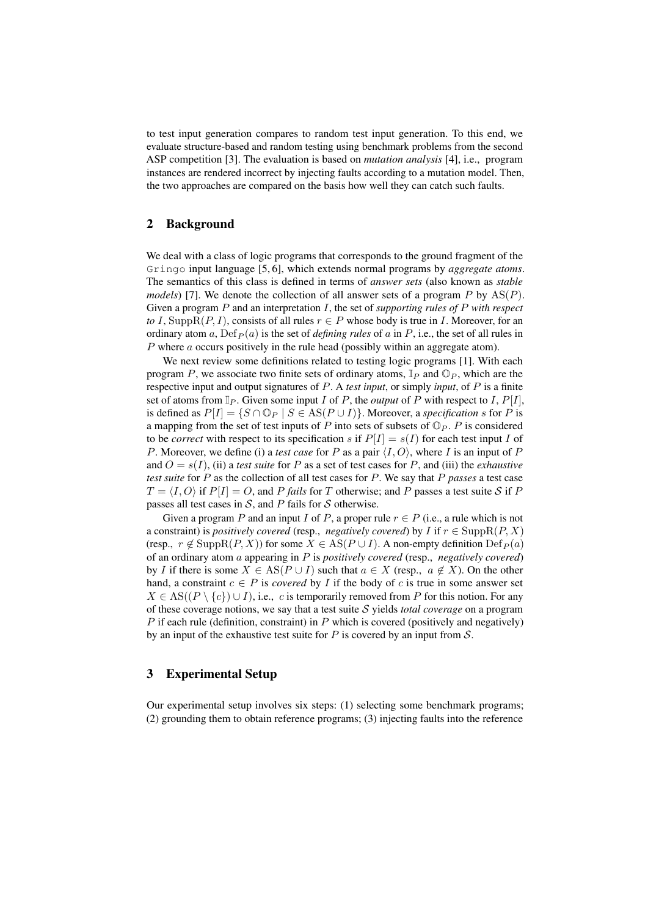to test input generation compares to random test input generation. To this end, we evaluate structure-based and random testing using benchmark problems from the second ASP competition [3]. The evaluation is based on *mutation analysis* [4], i.e., program instances are rendered incorrect by injecting faults according to a mutation model. Then, the two approaches are compared on the basis how well they can catch such faults.

## 2 Background

We deal with a class of logic programs that corresponds to the ground fragment of the Gringo input language [5, 6], which extends normal programs by *aggregate atoms*. The semantics of this class is defined in terms of *answer sets* (also known as *stable models*) [7]. We denote the collection of all answer sets of a program  $P$  by  $AS(P)$ . Given a program P and an interpretation I, the set of *supporting rules of* P *with respect to* I, SuppR(P, I), consists of all rules  $r \in P$  whose body is true in I. Moreover, for an ordinary atom a,  $Def_P(a)$  is the set of *defining rules* of a in P, i.e., the set of all rules in P where a occurs positively in the rule head (possibly within an aggregate atom).

We next review some definitions related to testing logic programs [1]. With each program P, we associate two finite sets of ordinary atoms,  $\mathbb{I}_P$  and  $\mathbb{O}_P$ , which are the respective input and output signatures of P. A *test input*, or simply *input*, of P is a finite set of atoms from  $\mathbb{I}_P$ . Given some input I of P, the *output* of P with respect to I,  $P[I]$ , is defined as  $P[I] = \{S \cap \mathbb{O}_P \mid S \in \text{AS}(P \cup I)\}\)$ . Moreover, a *specification* s for P is a mapping from the set of test inputs of P into sets of subsets of  $\mathbb{O}_P$ . P is considered to be *correct* with respect to its specification s if  $P[I] = s(I)$  for each test input I of P. Moreover, we define (i) a *test case* for P as a pair  $\langle I, O \rangle$ , where I is an input of P and  $O = s(I)$ , (ii) a *test suite* for P as a set of test cases for P, and (iii) the *exhaustive test suite* for P as the collection of all test cases for P. We say that P *passes* a test case  $T = \langle I, O \rangle$  if  $P[I] = O$ , and P *fails* for T otherwise; and P passes a test suite S if P passes all test cases in  $S$ , and  $P$  fails for  $S$  otherwise.

Given a program P and an input I of P, a proper rule  $r \in P$  (i.e., a rule which is not a constraint) is *positively covered* (resp., *negatively covered*) by I if  $r \in \text{SuppR}(P, X)$ (resp.,  $r \notin \text{SuppR}(P, X)$ ) for some  $X \in \text{AS}(P \cup I)$ . A non-empty definition  $\text{Def}_P(a)$ of an ordinary atom a appearing in P is *positively covered* (resp., *negatively covered*) by I if there is some  $X \in AS(P \cup I)$  such that  $a \in X$  (resp.,  $a \notin X$ ). On the other hand, a constraint  $c \in P$  is *covered* by I if the body of c is true in some answer set  $X \in AS((P \setminus \{c\}) \cup I)$ , i.e., c is temporarily removed from P for this notion. For any of these coverage notions, we say that a test suite S yields *total coverage* on a program  $P$  if each rule (definition, constraint) in  $P$  which is covered (positively and negatively) by an input of the exhaustive test suite for  $P$  is covered by an input from  $S$ .

### 3 Experimental Setup

Our experimental setup involves six steps: (1) selecting some benchmark programs; (2) grounding them to obtain reference programs; (3) injecting faults into the reference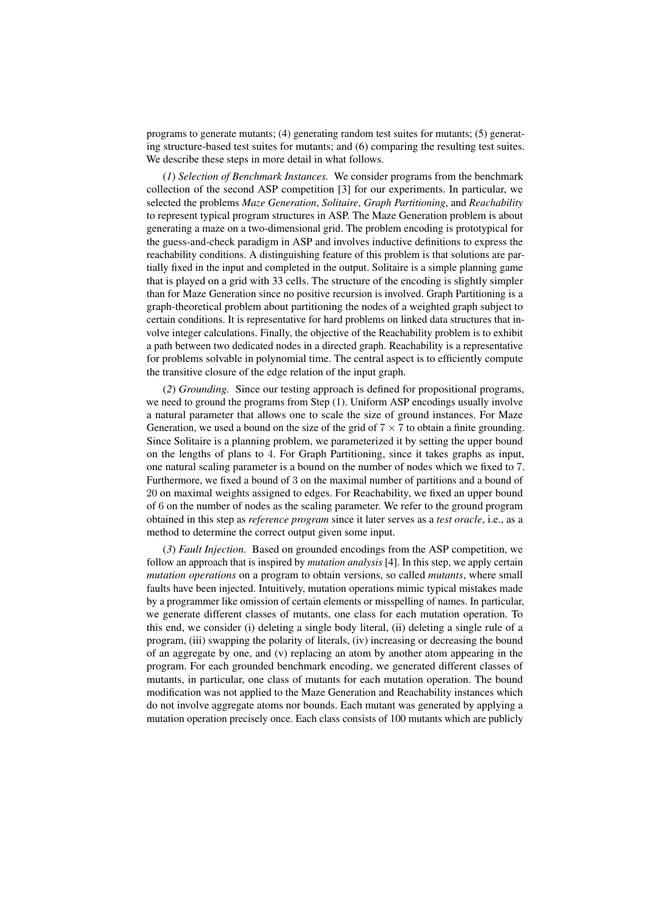programs to generate mutants; (4) generating random test suites for mutants; (5) generating structure-based test suites for mutants; and (6) comparing the resulting test suites. We describe these steps in more detail in what follows.

(*1*) *Selection of Benchmark Instances.* We consider programs from the benchmark collection of the second ASP competition [3] for our experiments. In particular, we selected the problems *Maze Generation*, *Solitaire*, *Graph Partitioning*, and *Reachability* to represent typical program structures in ASP. The Maze Generation problem is about generating a maze on a two-dimensional grid. The problem encoding is prototypical for the guess-and-check paradigm in ASP and involves inductive definitions to express the reachability conditions. A distinguishing feature of this problem is that solutions are partially fixed in the input and completed in the output. Solitaire is a simple planning game that is played on a grid with 33 cells. The structure of the encoding is slightly simpler than for Maze Generation since no positive recursion is involved. Graph Partitioning is a graph-theoretical problem about partitioning the nodes of a weighted graph subject to certain conditions. It is representative for hard problems on linked data structures that involve integer calculations. Finally, the objective of the Reachability problem is to exhibit a path between two dedicated nodes in a directed graph. Reachability is a representative for problems solvable in polynomial time. The central aspect is to efficiently compute the transitive closure of the edge relation of the input graph.

(*2*) *Grounding.* Since our testing approach is defined for propositional programs, we need to ground the programs from Step (1). Uniform ASP encodings usually involve a natural parameter that allows one to scale the size of ground instances. For Maze Generation, we used a bound on the size of the grid of  $7 \times 7$  to obtain a finite grounding. Since Solitaire is a planning problem, we parameterized it by setting the upper bound on the lengths of plans to 4. For Graph Partitioning, since it takes graphs as input, one natural scaling parameter is a bound on the number of nodes which we fixed to 7. Furthermore, we fixed a bound of 3 on the maximal number of partitions and a bound of 20 on maximal weights assigned to edges. For Reachability, we fixed an upper bound of 6 on the number of nodes as the scaling parameter. We refer to the ground program obtained in this step as *reference program* since it later serves as a *test oracle*, i.e., as a method to determine the correct output given some input.

(*3*) *Fault Injection.* Based on grounded encodings from the ASP competition, we follow an approach that is inspired by *mutation analysis* [4]. In this step, we apply certain *mutation operations* on a program to obtain versions, so called *mutants*, where small faults have been injected. Intuitively, mutation operations mimic typical mistakes made by a programmer like omission of certain elements or misspelling of names. In particular, we generate different classes of mutants, one class for each mutation operation. To this end, we consider (i) deleting a single body literal, (ii) deleting a single rule of a program, (iii) swapping the polarity of literals, (iv) increasing or decreasing the bound of an aggregate by one, and (v) replacing an atom by another atom appearing in the program. For each grounded benchmark encoding, we generated different classes of mutants, in particular, one class of mutants for each mutation operation. The bound modification was not applied to the Maze Generation and Reachability instances which do not involve aggregate atoms nor bounds. Each mutant was generated by applying a mutation operation precisely once. Each class consists of 100 mutants which are publicly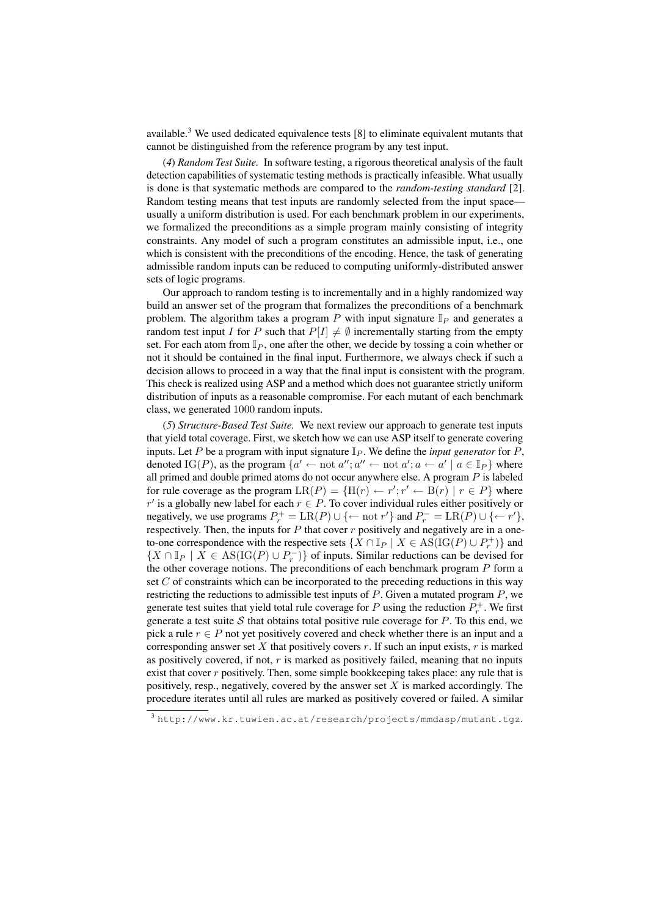available.<sup>3</sup> We used dedicated equivalence tests [8] to eliminate equivalent mutants that cannot be distinguished from the reference program by any test input.

(*4*) *Random Test Suite.* In software testing, a rigorous theoretical analysis of the fault detection capabilities of systematic testing methods is practically infeasible. What usually is done is that systematic methods are compared to the *random-testing standard* [2]. Random testing means that test inputs are randomly selected from the input space usually a uniform distribution is used. For each benchmark problem in our experiments, we formalized the preconditions as a simple program mainly consisting of integrity constraints. Any model of such a program constitutes an admissible input, i.e., one which is consistent with the preconditions of the encoding. Hence, the task of generating admissible random inputs can be reduced to computing uniformly-distributed answer sets of logic programs.

Our approach to random testing is to incrementally and in a highly randomized way build an answer set of the program that formalizes the preconditions of a benchmark problem. The algorithm takes a program  $P$  with input signature  $\mathbb{I}_P$  and generates a random test input I for P such that  $P[I] \neq \emptyset$  incrementally starting from the empty set. For each atom from  $\mathbb{I}_P$ , one after the other, we decide by tossing a coin whether or not it should be contained in the final input. Furthermore, we always check if such a decision allows to proceed in a way that the final input is consistent with the program. This check is realized using ASP and a method which does not guarantee strictly uniform distribution of inputs as a reasonable compromise. For each mutant of each benchmark class, we generated 1000 random inputs.

(*5*) *Structure-Based Test Suite.* We next review our approach to generate test inputs that yield total coverage. First, we sketch how we can use ASP itself to generate covering inputs. Let P be a program with input signature  $\mathbb{I}_P$ . We define the *input generator* for P, denoted IG(P), as the program  $\{a' \leftarrow \text{not } a''; a'' \leftarrow \text{not } a'; a \leftarrow a' \mid a \in \mathbb{I}_P\}$  where all primed and double primed atoms do not occur anywhere else. A program  $P$  is labeled for rule coverage as the program  $LR(P) = \{H(r) \leftarrow r'; r' \leftarrow B(r) \mid r \in P\}$  where r' is a globally new label for each  $r \in P$ . To cover individual rules either positively or negatively, we use programs  $P_r^+ = \text{LR}(P) \cup \{ \leftarrow \text{not } r' \}$  and  $P_r^- = \text{LR}(P) \cup \{ \leftarrow r' \}$ , respectively. Then, the inputs for  $P$  that cover  $r$  positively and negatively are in a oneto-one correspondence with the respective sets  $\{X \cap \mathbb{I}_P \mid X \in \text{AS}(\text{IG}(P) \cup P_r^+)\}$  and  $\{X \cap \mathbb{I}_P \mid X \in \text{AS}(\text{IG}(P) \cup P_r^{-})\}$  of inputs. Similar reductions can be devised for the other coverage notions. The preconditions of each benchmark program  $P$  form a set  $C$  of constraints which can be incorporated to the preceding reductions in this way restricting the reductions to admissible test inputs of  $P$ . Given a mutated program  $P$ , we generate test suites that yield total rule coverage for P using the reduction  $P_r^+$ . We first generate a test suite  $S$  that obtains total positive rule coverage for  $P$ . To this end, we pick a rule  $r \in P$  not yet positively covered and check whether there is an input and a corresponding answer set X that positively covers r. If such an input exists, r is marked as positively covered, if not,  $r$  is marked as positively failed, meaning that no inputs exist that cover  $r$  positively. Then, some simple bookkeeping takes place: any rule that is positively, resp., negatively, covered by the answer set  $X$  is marked accordingly. The procedure iterates until all rules are marked as positively covered or failed. A similar

<sup>3</sup> http://www.kr.tuwien.ac.at/research/projects/mmdasp/mutant.tgz.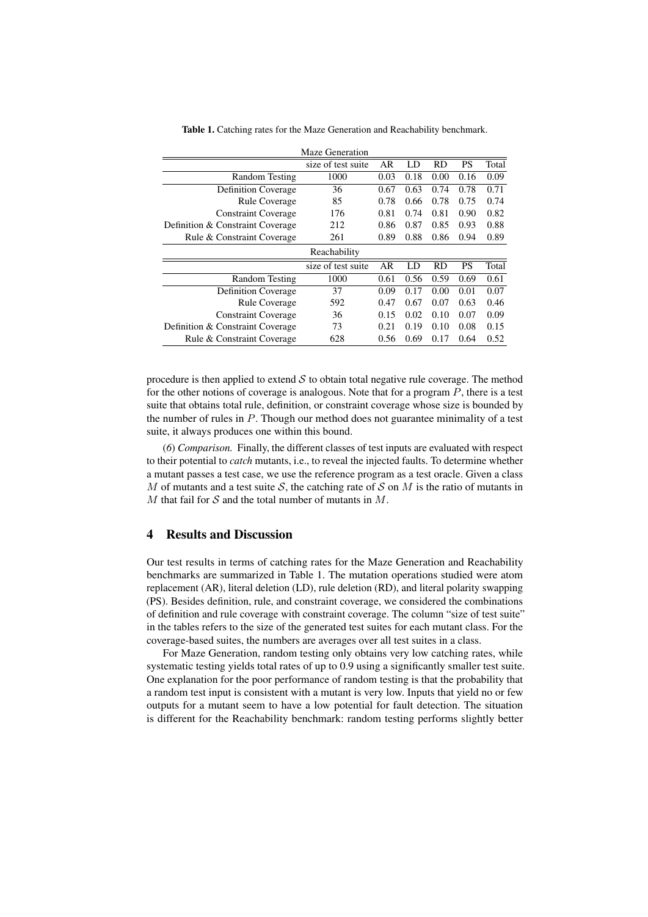|                                  | Maze Generation    |      |      |           |           |       |
|----------------------------------|--------------------|------|------|-----------|-----------|-------|
|                                  | size of test suite | AR   | LD   | <b>RD</b> | <b>PS</b> | Total |
| <b>Random Testing</b>            | 1000               | 0.03 | 0.18 | 0.00      | 0.16      | 0.09  |
| <b>Definition Coverage</b>       | 36                 | 0.67 | 0.63 | 0.74      | 0.78      | 0.71  |
| <b>Rule Coverage</b>             | 85                 | 0.78 | 0.66 | 0.78      | 0.75      | 0.74  |
| <b>Constraint Coverage</b>       | 176                | 0.81 | 0.74 | 0.81      | 0.90      | 0.82  |
| Definition & Constraint Coverage | 212                | 0.86 | 0.87 | 0.85      | 0.93      | 0.88  |
| Rule & Constraint Coverage       | 261                | 0.89 | 0.88 | 0.86      | 0.94      | 0.89  |
|                                  | Reachability       |      |      |           |           |       |
|                                  | size of test suite | AR   | LD   | <b>RD</b> | <b>PS</b> | Total |
| <b>Random Testing</b>            | 1000               | 0.61 | 0.56 | 0.59      | 0.69      | 0.61  |
| <b>Definition Coverage</b>       | 37                 | 0.09 | 0.17 | 0.00      | 0.01      | 0.07  |
| <b>Rule Coverage</b>             | 592                | 0.47 | 0.67 | 0.07      | 0.63      | 0.46  |
| <b>Constraint Coverage</b>       | 36                 | 0.15 | 0.02 | 0.10      | 0.07      | 0.09  |
| Definition & Constraint Coverage | 73                 | 0.21 | 0.19 | 0.10      | 0.08      | 0.15  |
| Rule & Constraint Coverage       | 628                | 0.56 | 0.69 | 0.17      | 0.64      | 0.52  |

Table 1. Catching rates for the Maze Generation and Reachability benchmark.

procedure is then applied to extend  $S$  to obtain total negative rule coverage. The method for the other notions of coverage is analogous. Note that for a program  $P$ , there is a test suite that obtains total rule, definition, or constraint coverage whose size is bounded by the number of rules in  $P$ . Though our method does not guarantee minimality of a test suite, it always produces one within this bound.

(*6*) *Comparison.* Finally, the different classes of test inputs are evaluated with respect to their potential to *catch* mutants, i.e., to reveal the injected faults. To determine whether a mutant passes a test case, we use the reference program as a test oracle. Given a class M of mutants and a test suite  $S$ , the catching rate of  $S$  on  $M$  is the ratio of mutants in M that fail for  $S$  and the total number of mutants in  $M$ .

## 4 Results and Discussion

Our test results in terms of catching rates for the Maze Generation and Reachability benchmarks are summarized in Table 1. The mutation operations studied were atom replacement (AR), literal deletion (LD), rule deletion (RD), and literal polarity swapping (PS). Besides definition, rule, and constraint coverage, we considered the combinations of definition and rule coverage with constraint coverage. The column "size of test suite" in the tables refers to the size of the generated test suites for each mutant class. For the coverage-based suites, the numbers are averages over all test suites in a class.

For Maze Generation, random testing only obtains very low catching rates, while systematic testing yields total rates of up to 0.9 using a significantly smaller test suite. One explanation for the poor performance of random testing is that the probability that a random test input is consistent with a mutant is very low. Inputs that yield no or few outputs for a mutant seem to have a low potential for fault detection. The situation is different for the Reachability benchmark: random testing performs slightly better